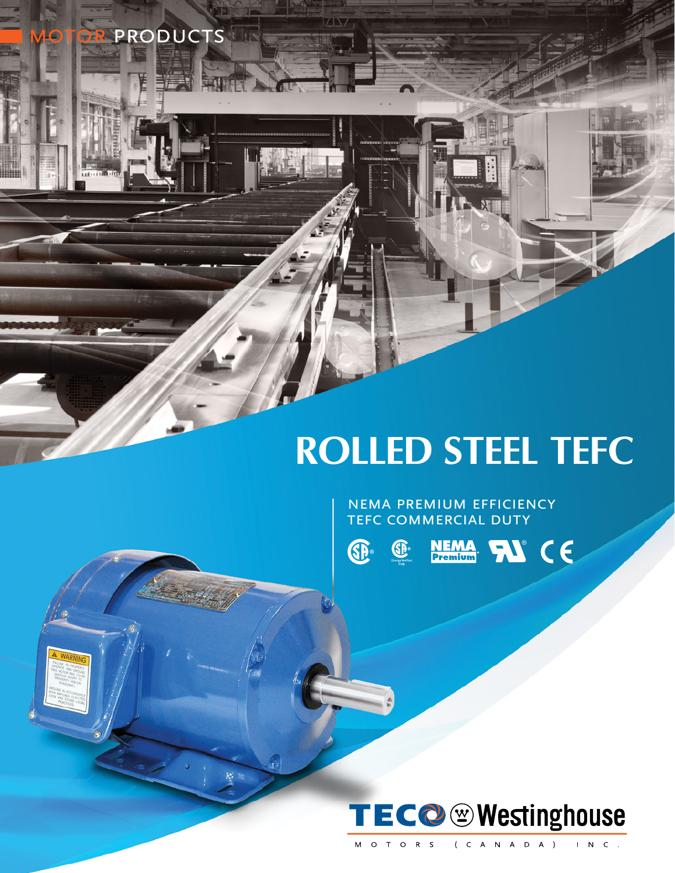# **ROLLED STEEL TEFC**

NEMA PREMIUM EFFICIENCY TEFC COMMERCIAL DUTY



 $\vec{D}$ 

PRODUCTS

**SP** 

NEMA NO CE